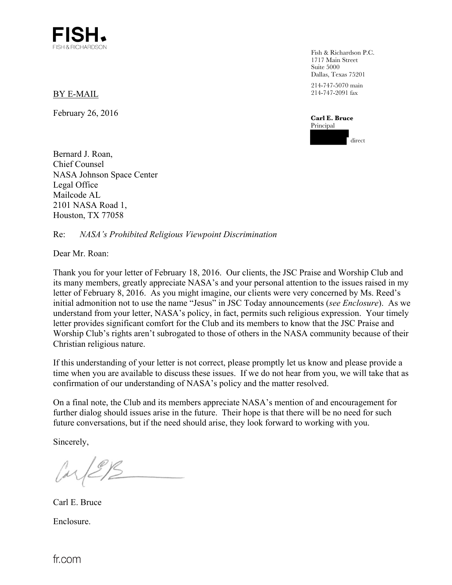

BY E-MAIL

February 26, 2016

Fish & Richardson P.C. 1717 Main Street Suite 5000 Dallas, Texas 75201 214-747-5070 main 214-747-2091 fax

**Carl E. Bruce**  Principal direct

Bernard J. Roan, Chief Counsel NASA Johnson Space Center Legal Office Mailcode AL 2101 NASA Road 1, Houston, TX 77058

Re: *NASA's Prohibited Religious Viewpoint Discrimination* 

Dear Mr. Roan:

Thank you for your letter of February 18, 2016. Our clients, the JSC Praise and Worship Club and its many members, greatly appreciate NASA's and your personal attention to the issues raised in my letter of February 8, 2016. As you might imagine, our clients were very concerned by Ms. Reed's initial admonition not to use the name "Jesus" in JSC Today announcements (*see Enclosure*). As we understand from your letter, NASA's policy, in fact, permits such religious expression. Your timely letter provides significant comfort for the Club and its members to know that the JSC Praise and Worship Club's rights aren't subrogated to those of others in the NASA community because of their Christian religious nature.

If this understanding of your letter is not correct, please promptly let us know and please provide a time when you are available to discuss these issues. If we do not hear from you, we will take that as confirmation of our understanding of NASA's policy and the matter resolved.

On a final note, the Club and its members appreciate NASA's mention of and encouragement for further dialog should issues arise in the future. Their hope is that there will be no need for such future conversations, but if the need should arise, they look forward to working with you.

Sincerely,

Carl E. Bruce Enclosure.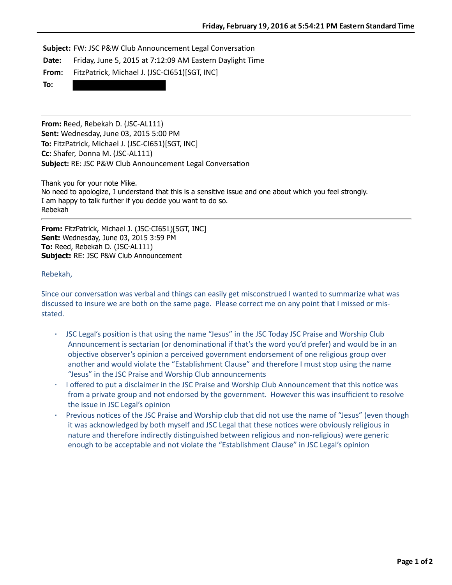**Subject:** FW: JSC P&W Club Announcement Legal Conversation

**Date:** Friday, June 5, 2015 at 7:12:09 AM Eastern Daylight Time

From: FitzPatrick, Michael J. (JSC-CI651)[SGT, INC]

**To:**

**From:** Reed, Rebekah D. (JSC-AL111) **Sent:** Wednesday, June 03, 2015 5:00 PM **To:** FitzPatrick, Michael J. (JSC-CI651)[SGT, INC] **Cc:** Shafer, Donna M. (JSC-AL111) **Subject:** RE: JSC P&W Club Announcement Legal Conversation

Thank you for your note Mike. No need to apologize, I understand that this is a sensitive issue and one about which you feel strongly. I am happy to talk further if you decide you want to do so. Rebekah

**From:** FitzPatrick, Michael J. (JSC-CI651)[SGT, INC] **Sent:** Wednesday, June 03, 2015 3:59 PM **To:** Reed, Rebekah D. (JSC-AL111) **Subject:** RE: JSC P&W Club Announcement

## Rebekah,

Since our conversation was verbal and things can easily get misconstrued I wanted to summarize what was discussed to insure we are both on the same page. Please correct me on any point that I missed or misstated.

- JSC Legal's position is that using the name "Jesus" in the JSC Today JSC Praise and Worship Club Announcement is sectarian (or denominational if that's the word you'd prefer) and would be in an objective observer's opinion a perceived government endorsement of one religious group over another and would violate the "Establishment Clause" and therefore I must stop using the name "Jesus" in the JSC Praise and Worship Club announcements
- · I offered to put a disclaimer in the JSC Praise and Worship Club Announcement that this notice was from a private group and not endorsed by the government. However this was insufficient to resolve the issue in JSC Legal's opinion
- Previous notices of the JSC Praise and Worship club that did not use the name of "Jesus" (even though it was acknowledged by both myself and JSC Legal that these notices were obviously religious in nature and therefore indirectly distinguished between religious and non-religious) were generic enough to be acceptable and not violate the "Establishment Clause" in JSC Legal's opinion